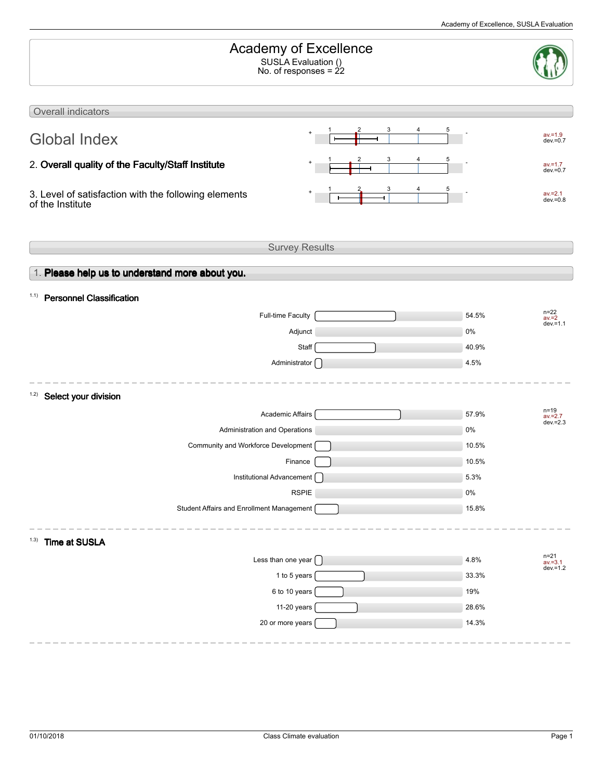| Academy of Excellence<br>SUSLA Evaluation ()<br>No. of responses = $\frac{2}{2}$ |  |                                    |  |  |  |
|----------------------------------------------------------------------------------|--|------------------------------------|--|--|--|
| Overall indicators                                                               |  |                                    |  |  |  |
|                                                                                  |  |                                    |  |  |  |
| <b>Global Index</b>                                                              |  | $av = 1.9$<br>$dev = 0.7$          |  |  |  |
| 2. Overall quality of the Faculty/Staff Institute                                |  | $av = 1.7$<br>$dev = 0.7$          |  |  |  |
| 3. Level of satisfaction with the following elements<br>of the Institute         |  | $av = 2.1$<br>$dev = 0.8$          |  |  |  |
| <b>Survey Results</b>                                                            |  |                                    |  |  |  |
|                                                                                  |  |                                    |  |  |  |
| 1. Please help us to understand more about you.                                  |  |                                    |  |  |  |
| 1.1) Personnel Classification                                                    |  |                                    |  |  |  |
| Full-time Faculty                                                                |  | $n=22$<br>av.=2<br>54.5%           |  |  |  |
| Adjunct                                                                          |  | $dev = 1.1$<br>0%                  |  |  |  |
| Staff                                                                            |  | 40.9%                              |  |  |  |
| Administrator [                                                                  |  | 4.5%                               |  |  |  |
|                                                                                  |  |                                    |  |  |  |
| 1.2)<br>Select your division                                                     |  | $n = 19$                           |  |  |  |
| Academic Affairs                                                                 |  | 57.9%<br>$av = 2.7$<br>$dev = 2.3$ |  |  |  |
| Administration and Operations                                                    |  | 0%                                 |  |  |  |
| Community and Workforce Development                                              |  | 10.5%                              |  |  |  |
| Finance                                                                          |  | 10.5%                              |  |  |  |
| Institutional Advancement [                                                      |  | 5.3%                               |  |  |  |
| <b>RSPIE</b>                                                                     |  | $0\%$                              |  |  |  |
| Student Affairs and Enrollment Management                                        |  | 15.8%                              |  |  |  |
| <b>Time at SUSLA</b><br>1.3)                                                     |  |                                    |  |  |  |
| Less than one year [                                                             |  | $n=21$<br>av.=3.1<br>4.8%          |  |  |  |
| 1 to 5 years                                                                     |  | $dev = 1.2$<br>33.3%               |  |  |  |
| 6 to 10 years                                                                    |  | 19%                                |  |  |  |
| 11-20 years                                                                      |  | 28.6%                              |  |  |  |
| 20 or more years                                                                 |  | 14.3%                              |  |  |  |
|                                                                                  |  |                                    |  |  |  |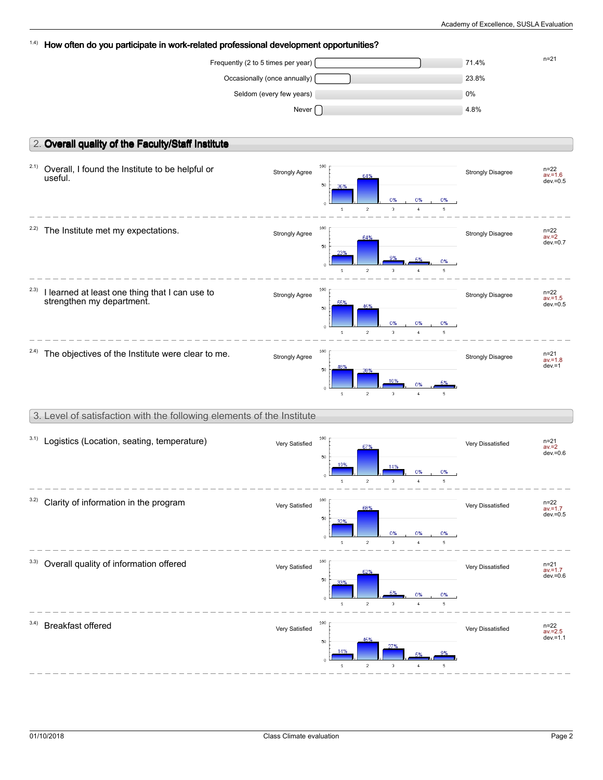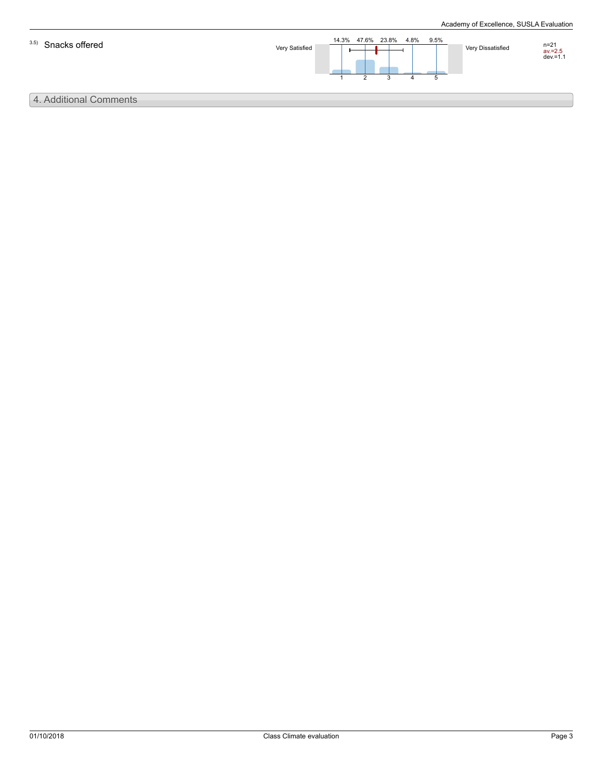

# 4. Additional Comments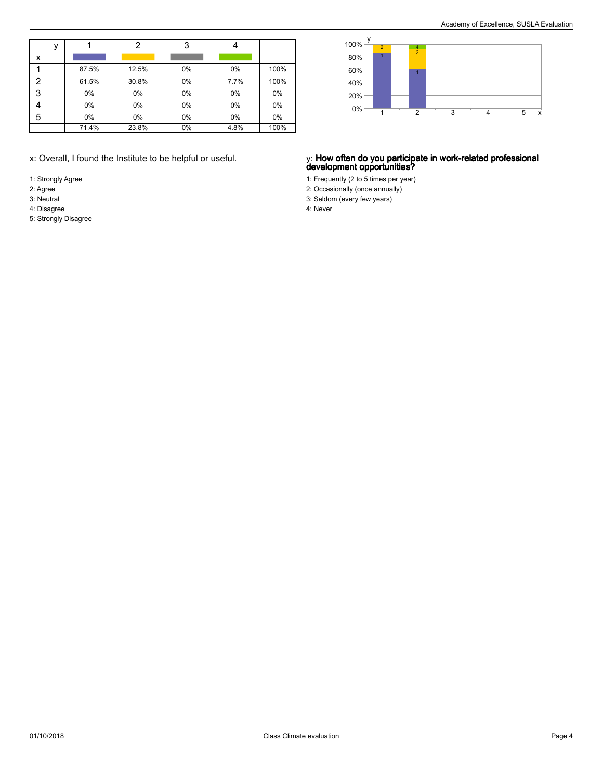|   |       | っ     | 3  |      |      |
|---|-------|-------|----|------|------|
| x |       |       |    |      |      |
|   | 87.5% | 12.5% | 0% | 0%   | 100% |
| 2 | 61.5% | 30.8% | 0% | 7.7% | 100% |
| 3 | 0%    | 0%    | 0% | 0%   | 0%   |
|   | 0%    | 0%    | 0% | 0%   | 0%   |
| 5 | 0%    | 0%    | 0% | 0%   | 0%   |
|   | 71.4% | 23.8% | 0% | 4.8% | 100% |

- 1: Strongly Agree
- 2: Agree
- 3: Neutral
- 4: Disagree

y x 0% 20% 40% 60% 80% 100% 1 1 2 2 1  $\frac{4}{2}$ 3 4 5

### x: Overall, I found the Institute to be helpful or useful. y: **How often do you participate in work-related professional development opportunities?**

- 1: Frequently (2 to 5 times per year)
- 2: Occasionally (once annually)
- 3: Seldom (every few years) 4: Never

5: Strongly Disagree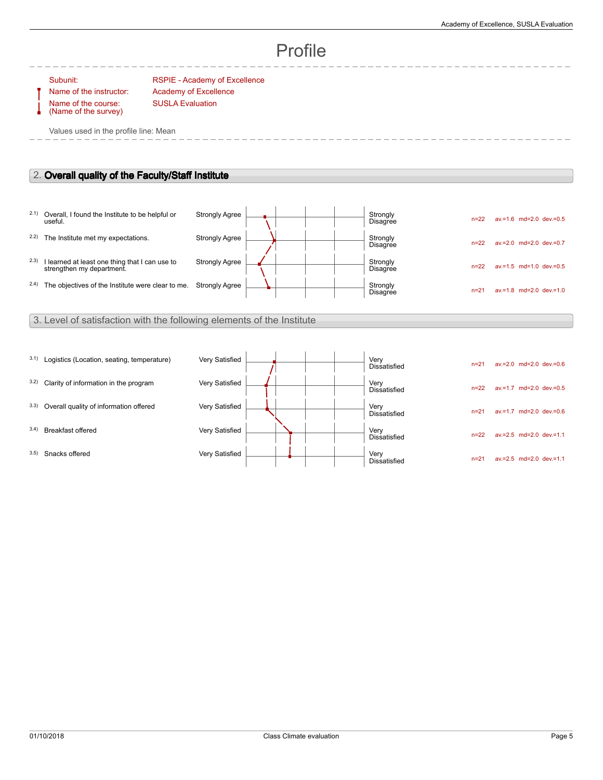# Profile

Name of the course: (Name of the survey)

Subunit: RSPIE - Academy of Excellence Name of the instructor: Academy of Excellence SUSLA Evaluation

Values used in the profile line: Mean

# 2. **Overall quality of the Faculty/Staff Institute**

|      | 2.1) Overall, I found the Institute to be helpful or<br>useful.             | <b>Strongly Agree</b> |  | Strongly<br><b>Disagree</b> | $n = 22$ | $av = 1.6$ md=2.0 dev $= 0.5$    |
|------|-----------------------------------------------------------------------------|-----------------------|--|-----------------------------|----------|----------------------------------|
| 2.2) | The Institute met my expectations.                                          | <b>Strongly Agree</b> |  | Strongly<br><b>Disagree</b> | $n = 22$ | $av = 2.0$ md= $2.0$ dev $= 0.7$ |
| 2.3) | I learned at least one thing that I can use to<br>strengthen my department. | <b>Strongly Agree</b> |  | Strongly<br><b>Disagree</b> | $n = 22$ | $av = 1.5$ md=1.0 dev.=0.5       |
| 2.4) | The objectives of the Institute were clear to me.                           | <b>Strongly Agree</b> |  | Strongly<br>Disagree        | $n=2$    | $av.=1.8$ md=2.0 dev.=1.0        |

## 3. Level of satisfaction with the following elements of the Institute

| 3.1) | Logistics (Location, seating, temperature) | Very Satisfied |  | Very<br><b>Dissatisfied</b> | $n = 21$ | $av = 2.0$ md= $2.0$ dev $= 0.6$ |
|------|--------------------------------------------|----------------|--|-----------------------------|----------|----------------------------------|
| 3.2) | Clarity of information in the program      | Very Satisfied |  | Very<br><b>Dissatisfied</b> | $n = 22$ | $av.=1.7$ md=2.0 dev.=0.5        |
| 3.3) | Overall quality of information offered     | Very Satisfied |  | Very<br>Dissatisfied        | $n = 21$ | $av = 1.7$ md=2.0 dev=0.6        |
| 3.4) | Breakfast offered                          | Very Satisfied |  | Very<br><b>Dissatisfied</b> | $n = 22$ | $av.=2.5$ md=2.0 dev.=1.1        |
| 3.5) | Snacks offered                             | Very Satisfied |  | Very<br>Dissatisfied        | $n = 21$ | $av = 2.5$ md= $2.0$ dev $= 1.1$ |